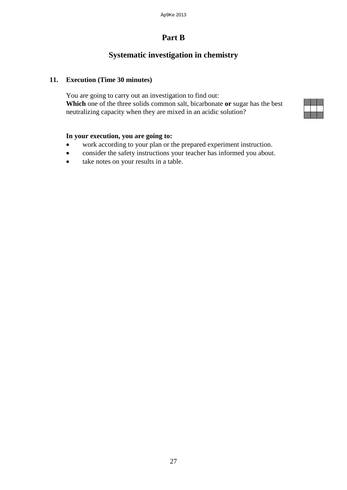# **Part B**

### **Systematic investigation in chemistry**

#### **11. Execution (Time 30 minutes)**

You are going to carry out an investigation to find out: **Which** one of the three solids common salt, bicarbonate **or** sugar has the best neutralizing capacity when they are mixed in an acidic solution?

#### **In your execution, you are going to:**

- work according to your plan or the prepared experiment instruction.
- consider the safety instructions your teacher has informed you about.
- take notes on your results in a table.

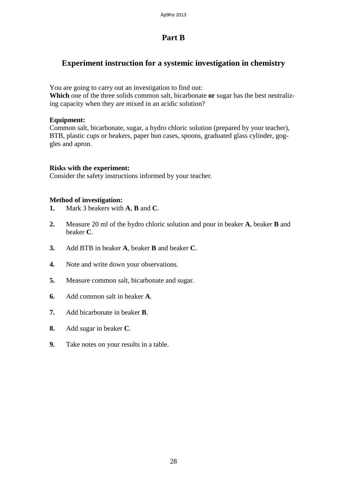# **Part B**

### **Experiment instruction for a systemic investigation in chemistry**

You are going to carry out an investigation to find out:

**Which** one of the three solids common salt, bicarbonate **or** sugar has the best neutralizing capacity when they are mixed in an acidic solution?

#### **Equipment:**

Common salt, bicarbonate, sugar, a hydro chloric solution (prepared by your teacher), BTB, plastic cups or beakers, paper bun cases, spoons, graduated glass cylinder, goggles and apron.

#### **Risks with the experiment:**

Consider the safety instructions informed by your teacher.

#### **Method of investigation:**

- **1.** Mark 3 beakers with **A**, **B** and **C**.
- **2.** Measure 20 ml of the hydro chloric solution and pour in beaker **A**, beaker **B** and beaker **C**.
- **3.** Add BTB in beaker **A**, beaker **B** and beaker **C**.
- **4.** Note and write down your observations.
- **5.** Measure common salt, bicarbonate and sugar.
- **6.** Add common salt in beaker **A**.
- **7.** Add bicarbonate in beaker **B**.
- **8.** Add sugar in beaker **C**.
- **9.** Take notes on your results in a table.